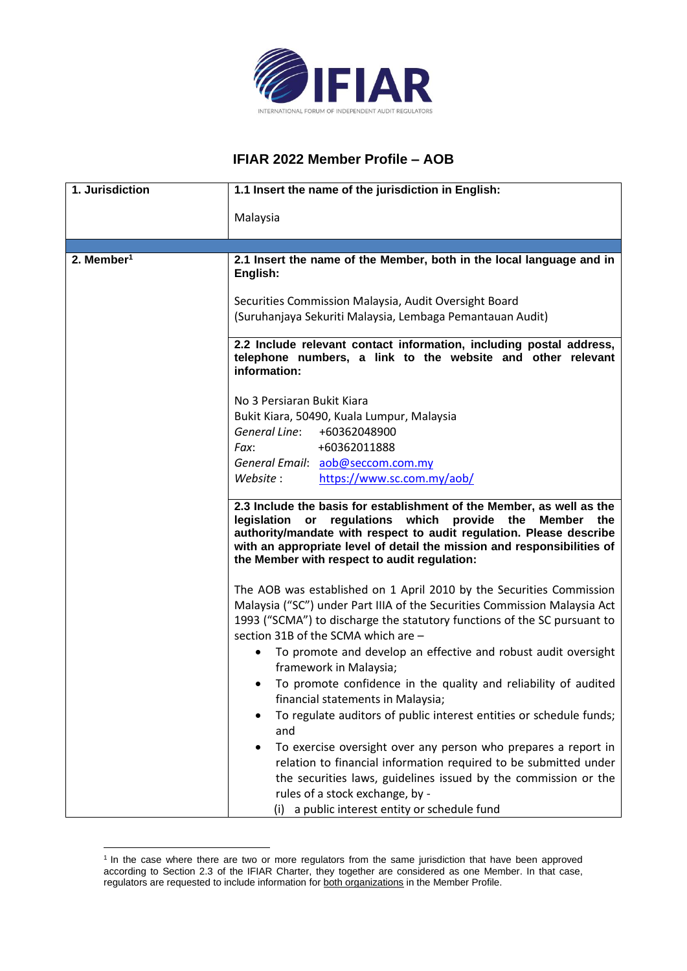

## **IFIAR 2022 Member Profile – AOB**

| 1. Jurisdiction | 1.1 Insert the name of the jurisdiction in English:                                                                                                                                                                                                                                                                                   |
|-----------------|---------------------------------------------------------------------------------------------------------------------------------------------------------------------------------------------------------------------------------------------------------------------------------------------------------------------------------------|
|                 | Malaysia                                                                                                                                                                                                                                                                                                                              |
|                 |                                                                                                                                                                                                                                                                                                                                       |
| 2. Member $1$   | 2.1 Insert the name of the Member, both in the local language and in<br>English:                                                                                                                                                                                                                                                      |
|                 | Securities Commission Malaysia, Audit Oversight Board                                                                                                                                                                                                                                                                                 |
|                 | (Suruhanjaya Sekuriti Malaysia, Lembaga Pemantauan Audit)                                                                                                                                                                                                                                                                             |
|                 | 2.2 Include relevant contact information, including postal address,<br>telephone numbers, a link to the website and other relevant<br>information:                                                                                                                                                                                    |
|                 | No 3 Persiaran Bukit Kiara                                                                                                                                                                                                                                                                                                            |
|                 | Bukit Kiara, 50490, Kuala Lumpur, Malaysia                                                                                                                                                                                                                                                                                            |
|                 | General Line:<br>+60362048900                                                                                                                                                                                                                                                                                                         |
|                 | +60362011888<br>Fax:                                                                                                                                                                                                                                                                                                                  |
|                 | General Email: aob@seccom.com.my                                                                                                                                                                                                                                                                                                      |
|                 | Website :<br>https://www.sc.com.my/aob/                                                                                                                                                                                                                                                                                               |
|                 | 2.3 Include the basis for establishment of the Member, as well as the<br>legislation or regulations which provide the<br>Member the<br>authority/mandate with respect to audit regulation. Please describe<br>with an appropriate level of detail the mission and responsibilities of<br>the Member with respect to audit regulation: |
|                 | The AOB was established on 1 April 2010 by the Securities Commission                                                                                                                                                                                                                                                                  |
|                 | Malaysia ("SC") under Part IIIA of the Securities Commission Malaysia Act<br>1993 ("SCMA") to discharge the statutory functions of the SC pursuant to<br>section 31B of the SCMA which are -                                                                                                                                          |
|                 | To promote and develop an effective and robust audit oversight<br>framework in Malaysia;                                                                                                                                                                                                                                              |
|                 | To promote confidence in the quality and reliability of audited<br>financial statements in Malaysia;                                                                                                                                                                                                                                  |
|                 | To regulate auditors of public interest entities or schedule funds;<br>and                                                                                                                                                                                                                                                            |
|                 | To exercise oversight over any person who prepares a report in<br>relation to financial information required to be submitted under                                                                                                                                                                                                    |
|                 | the securities laws, guidelines issued by the commission or the                                                                                                                                                                                                                                                                       |
|                 | rules of a stock exchange, by -                                                                                                                                                                                                                                                                                                       |
|                 | a public interest entity or schedule fund<br>(i)                                                                                                                                                                                                                                                                                      |

<sup>&</sup>lt;sup>1</sup> In the case where there are two or more regulators from the same jurisdiction that have been approved according to Section 2.3 of the IFIAR Charter, they together are considered as one Member. In that case, regulators are requested to include information for both organizations in the Member Profile.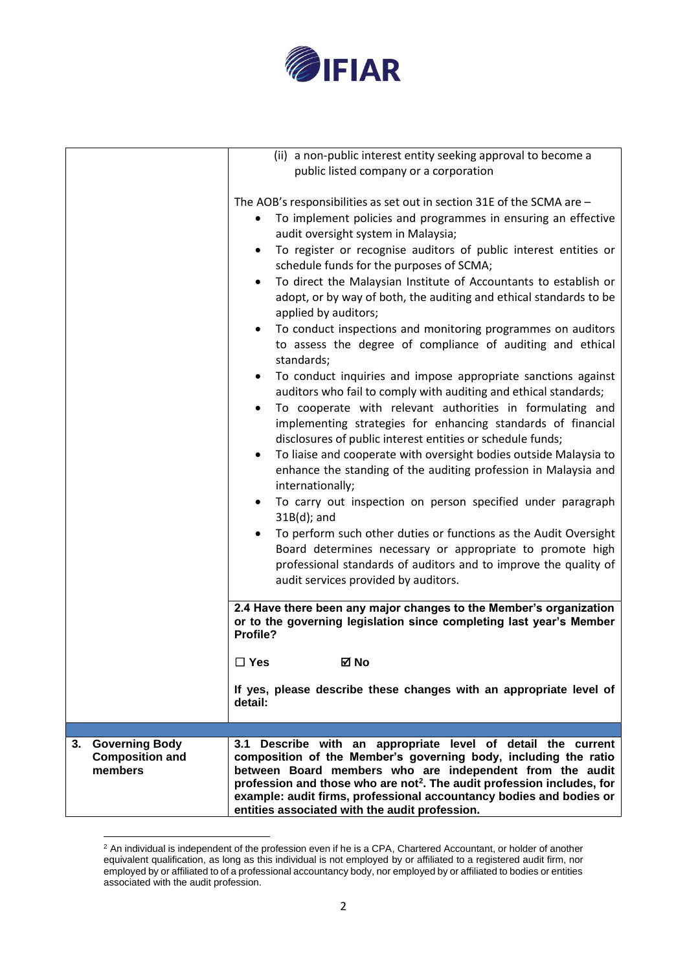

|                                             | (ii) a non-public interest entity seeking approval to become a                                                                                                                                                                                                                                            |
|---------------------------------------------|-----------------------------------------------------------------------------------------------------------------------------------------------------------------------------------------------------------------------------------------------------------------------------------------------------------|
|                                             | public listed company or a corporation                                                                                                                                                                                                                                                                    |
|                                             |                                                                                                                                                                                                                                                                                                           |
|                                             | The AOB's responsibilities as set out in section 31E of the SCMA are -                                                                                                                                                                                                                                    |
|                                             | To implement policies and programmes in ensuring an effective<br>audit oversight system in Malaysia;                                                                                                                                                                                                      |
|                                             | To register or recognise auditors of public interest entities or<br>٠<br>schedule funds for the purposes of SCMA;                                                                                                                                                                                         |
|                                             | To direct the Malaysian Institute of Accountants to establish or<br>adopt, or by way of both, the auditing and ethical standards to be<br>applied by auditors;<br>To conduct inspections and monitoring programmes on auditors<br>$\bullet$<br>to assess the degree of compliance of auditing and ethical |
|                                             | standards;                                                                                                                                                                                                                                                                                                |
|                                             | To conduct inquiries and impose appropriate sanctions against<br>٠<br>auditors who fail to comply with auditing and ethical standards;<br>To cooperate with relevant authorities in formulating and                                                                                                       |
|                                             | implementing strategies for enhancing standards of financial<br>disclosures of public interest entities or schedule funds;                                                                                                                                                                                |
|                                             | To liaise and cooperate with oversight bodies outside Malaysia to<br>enhance the standing of the auditing profession in Malaysia and<br>internationally;                                                                                                                                                  |
|                                             | To carry out inspection on person specified under paragraph<br>$31B(d)$ ; and                                                                                                                                                                                                                             |
|                                             | To perform such other duties or functions as the Audit Oversight<br>Board determines necessary or appropriate to promote high<br>professional standards of auditors and to improve the quality of                                                                                                         |
|                                             | audit services provided by auditors.                                                                                                                                                                                                                                                                      |
|                                             | 2.4 Have there been any major changes to the Member's organization<br>or to the governing legislation since completing last year's Member<br>Profile?                                                                                                                                                     |
|                                             | $\square$ Yes<br>⊠ No                                                                                                                                                                                                                                                                                     |
|                                             | If yes, please describe these changes with an appropriate level of<br>detail:                                                                                                                                                                                                                             |
|                                             |                                                                                                                                                                                                                                                                                                           |
| 3. Governing Body<br><b>Composition and</b> | 3.1 Describe with an appropriate level of detail the current<br>composition of the Member's governing body, including the ratio                                                                                                                                                                           |
| members                                     | between Board members who are independent from the audit<br>profession and those who are not <sup>2</sup> . The audit profession includes, for                                                                                                                                                            |
|                                             | example: audit firms, professional accountancy bodies and bodies or<br>entities associated with the audit profession.                                                                                                                                                                                     |

 $2$  An individual is independent of the profession even if he is a CPA, Chartered Accountant, or holder of another equivalent qualification, as long as this individual is not employed by or affiliated to a registered audit firm, nor employed by or affiliated to of a professional accountancy body, nor employed by or affiliated to bodies or entities associated with the audit profession.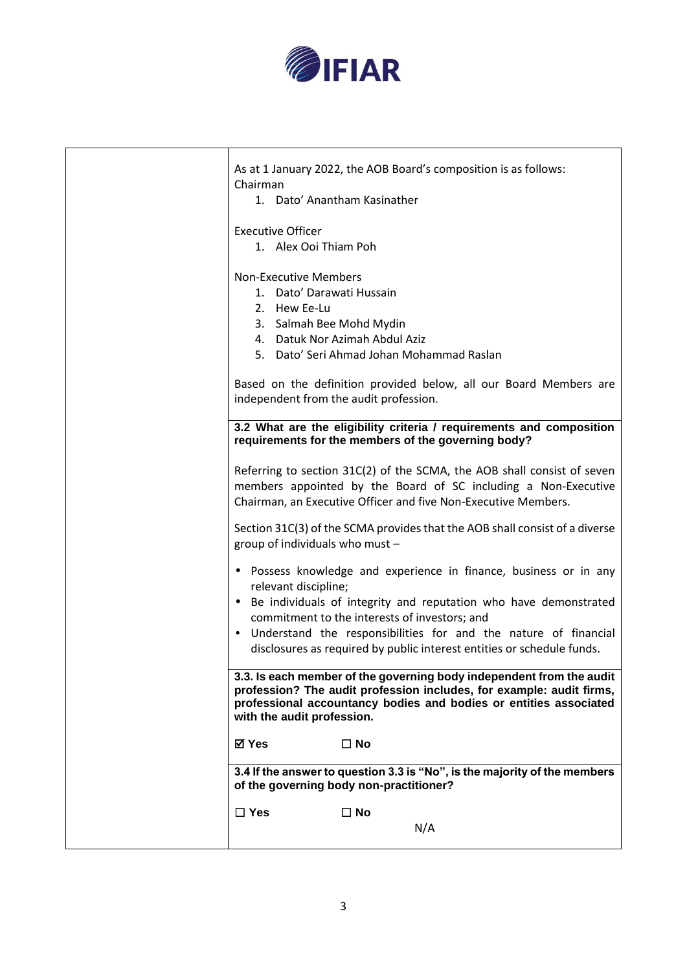

| As at 1 January 2022, the AOB Board's composition is as follows:<br>Chairman<br>1. Dato' Anantham Kasinather                                                                                                                                                                                                                                                    |
|-----------------------------------------------------------------------------------------------------------------------------------------------------------------------------------------------------------------------------------------------------------------------------------------------------------------------------------------------------------------|
| <b>Executive Officer</b><br>1. Alex Ooi Thiam Poh                                                                                                                                                                                                                                                                                                               |
| <b>Non-Executive Members</b><br>1. Dato' Darawati Hussain<br>2. Hew Ee-Lu<br>3. Salmah Bee Mohd Mydin<br>4. Datuk Nor Azimah Abdul Aziz<br>5. Dato' Seri Ahmad Johan Mohammad Raslan                                                                                                                                                                            |
| Based on the definition provided below, all our Board Members are<br>independent from the audit profession.                                                                                                                                                                                                                                                     |
| 3.2 What are the eligibility criteria / requirements and composition<br>requirements for the members of the governing body?                                                                                                                                                                                                                                     |
| Referring to section 31C(2) of the SCMA, the AOB shall consist of seven<br>members appointed by the Board of SC including a Non-Executive<br>Chairman, an Executive Officer and five Non-Executive Members.                                                                                                                                                     |
| Section 31C(3) of the SCMA provides that the AOB shall consist of a diverse<br>group of individuals who must -                                                                                                                                                                                                                                                  |
| • Possess knowledge and experience in finance, business or in any<br>relevant discipline;<br>• Be individuals of integrity and reputation who have demonstrated<br>commitment to the interests of investors; and<br>• Understand the responsibilities for and the nature of financial<br>disclosures as required by public interest entities or schedule funds. |
| 3.3. Is each member of the governing body independent from the audit<br>profession? The audit profession includes, for example: audit firms,<br>professional accountancy bodies and bodies or entities associated<br>with the audit profession.                                                                                                                 |
| ⊠ Yes<br>$\Box$ No                                                                                                                                                                                                                                                                                                                                              |
| 3.4 If the answer to question 3.3 is "No", is the majority of the members<br>of the governing body non-practitioner?                                                                                                                                                                                                                                            |
| $\Box$ Yes<br>$\square$ No<br>N/A                                                                                                                                                                                                                                                                                                                               |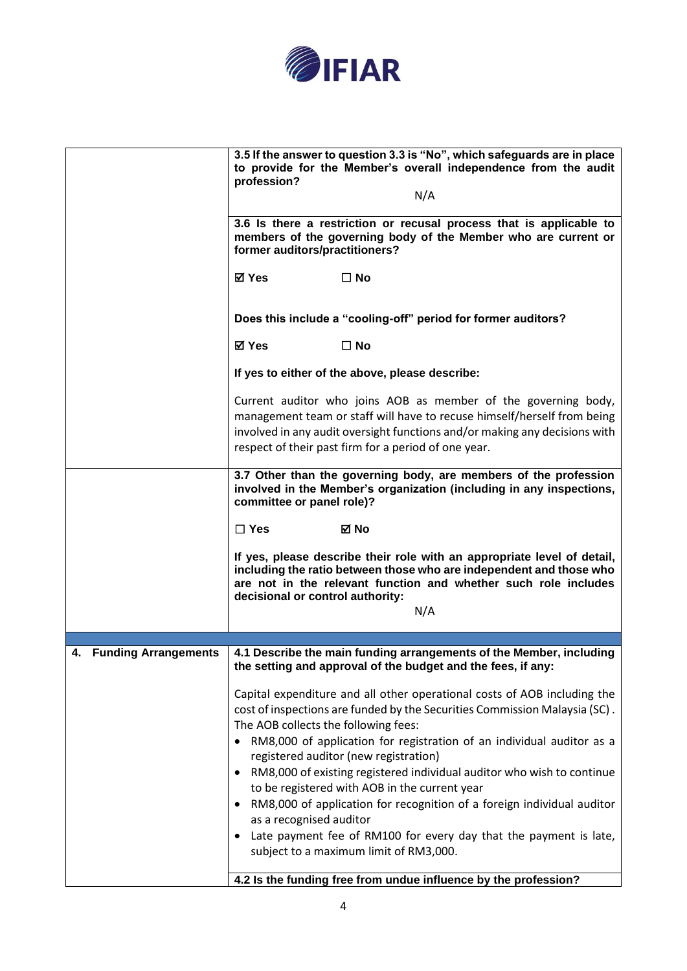

|                                   | 3.5 If the answer to question 3.3 is "No", which safeguards are in place<br>to provide for the Member's overall independence from the audit<br>profession?<br>N/A                                                                                                                                                                                                                            |
|-----------------------------------|----------------------------------------------------------------------------------------------------------------------------------------------------------------------------------------------------------------------------------------------------------------------------------------------------------------------------------------------------------------------------------------------|
|                                   | 3.6 Is there a restriction or recusal process that is applicable to<br>members of the governing body of the Member who are current or<br>former auditors/practitioners?                                                                                                                                                                                                                      |
|                                   | <b>⊠</b> Yes<br>$\square$ No                                                                                                                                                                                                                                                                                                                                                                 |
|                                   | Does this include a "cooling-off" period for former auditors?                                                                                                                                                                                                                                                                                                                                |
|                                   | <b>⊠</b> Yes<br>$\square$ No                                                                                                                                                                                                                                                                                                                                                                 |
|                                   | If yes to either of the above, please describe:                                                                                                                                                                                                                                                                                                                                              |
|                                   | Current auditor who joins AOB as member of the governing body,<br>management team or staff will have to recuse himself/herself from being<br>involved in any audit oversight functions and/or making any decisions with<br>respect of their past firm for a period of one year.                                                                                                              |
|                                   | 3.7 Other than the governing body, are members of the profession<br>involved in the Member's organization (including in any inspections,<br>committee or panel role)?                                                                                                                                                                                                                        |
|                                   | $\Box$ Yes<br>⊠ No                                                                                                                                                                                                                                                                                                                                                                           |
|                                   | If yes, please describe their role with an appropriate level of detail,<br>including the ratio between those who are independent and those who<br>are not in the relevant function and whether such role includes<br>decisional or control authority:<br>N/A                                                                                                                                 |
|                                   |                                                                                                                                                                                                                                                                                                                                                                                              |
| <b>Funding Arrangements</b><br>4. | 4.1 Describe the main funding arrangements of the Member, including<br>the setting and approval of the budget and the fees, if any:                                                                                                                                                                                                                                                          |
|                                   | Capital expenditure and all other operational costs of AOB including the<br>cost of inspections are funded by the Securities Commission Malaysia (SC).<br>The AOB collects the following fees:<br>• RM8,000 of application for registration of an individual auditor as a<br>registered auditor (new registration)<br>RM8,000 of existing registered individual auditor who wish to continue |
|                                   | to be registered with AOB in the current year                                                                                                                                                                                                                                                                                                                                                |
|                                   | RM8,000 of application for recognition of a foreign individual auditor<br>as a recognised auditor                                                                                                                                                                                                                                                                                            |
|                                   | Late payment fee of RM100 for every day that the payment is late,<br>subject to a maximum limit of RM3,000.                                                                                                                                                                                                                                                                                  |
|                                   | 4.2 Is the funding free from undue influence by the profession?                                                                                                                                                                                                                                                                                                                              |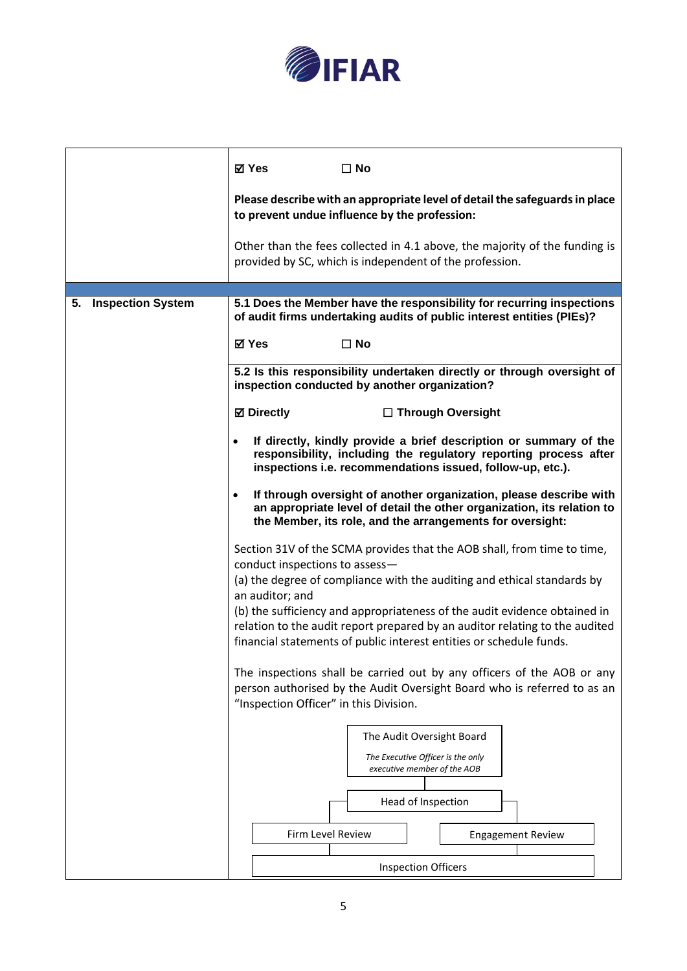

|                                | <b>⊠</b> Yes<br>$\square$ No                                                                                                                                                                                           |
|--------------------------------|------------------------------------------------------------------------------------------------------------------------------------------------------------------------------------------------------------------------|
|                                | Please describe with an appropriate level of detail the safeguards in place<br>to prevent undue influence by the profession:                                                                                           |
|                                | Other than the fees collected in 4.1 above, the majority of the funding is<br>provided by SC, which is independent of the profession.                                                                                  |
|                                |                                                                                                                                                                                                                        |
| <b>Inspection System</b><br>5. | 5.1 Does the Member have the responsibility for recurring inspections<br>of audit firms undertaking audits of public interest entities (PIEs)?                                                                         |
|                                | <b>⊠</b> Yes<br>$\square$ No                                                                                                                                                                                           |
|                                | 5.2 Is this responsibility undertaken directly or through oversight of<br>inspection conducted by another organization?                                                                                                |
|                                | <b>⊠</b> Directly<br>$\Box$ Through Oversight                                                                                                                                                                          |
|                                | If directly, kindly provide a brief description or summary of the<br>$\bullet$<br>responsibility, including the regulatory reporting process after<br>inspections i.e. recommendations issued, follow-up, etc.).       |
|                                | If through oversight of another organization, please describe with<br>$\bullet$<br>an appropriate level of detail the other organization, its relation to<br>the Member, its role, and the arrangements for oversight: |
|                                | Section 31V of the SCMA provides that the AOB shall, from time to time,<br>conduct inspections to assess-                                                                                                              |
|                                | (a) the degree of compliance with the auditing and ethical standards by<br>an auditor; and                                                                                                                             |
|                                | (b) the sufficiency and appropriateness of the audit evidence obtained in<br>relation to the audit report prepared by an auditor relating to the audited                                                               |
|                                | financial statements of public interest entities or schedule funds.                                                                                                                                                    |
|                                | The inspections shall be carried out by any officers of the AOB or any<br>person authorised by the Audit Oversight Board who is referred to as an                                                                      |
|                                | "Inspection Officer" in this Division.                                                                                                                                                                                 |
|                                | The Audit Oversight Board                                                                                                                                                                                              |
|                                | The Executive Officer is the only<br>executive member of the AOB                                                                                                                                                       |
|                                | Head of Inspection                                                                                                                                                                                                     |
|                                | <b>Firm Level Review</b><br><b>Engagement Review</b>                                                                                                                                                                   |
|                                | <b>Inspection Officers</b>                                                                                                                                                                                             |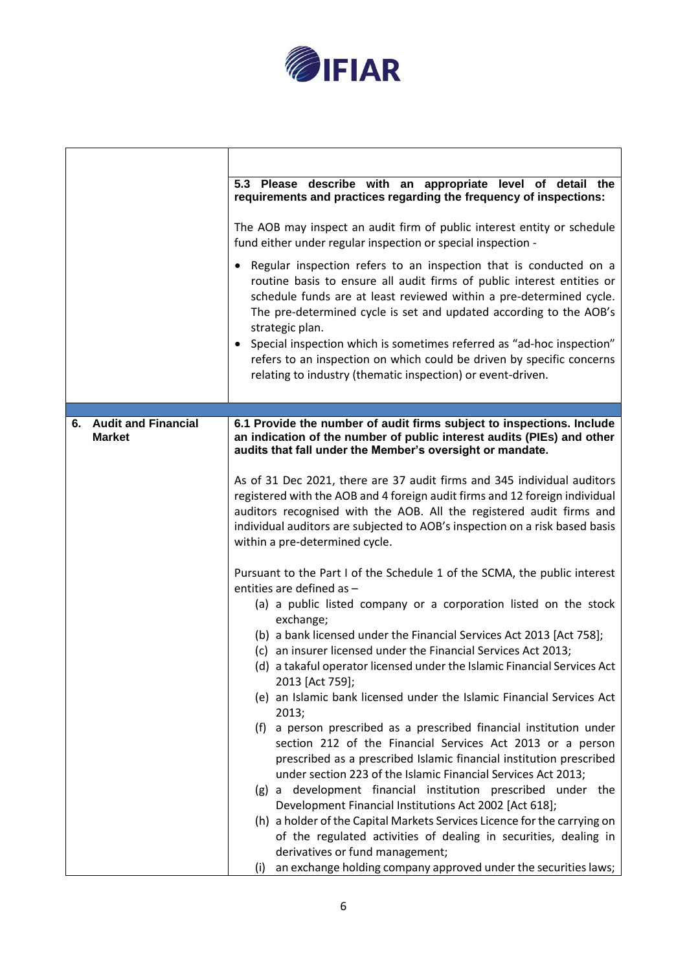

┱

٦

 $\Gamma$ 

|                                  | 5.3 Please describe with an appropriate level of detail the<br>requirements and practices regarding the frequency of inspections:                                                                                                                                                                                                                                                                                                                                                                                                |
|----------------------------------|----------------------------------------------------------------------------------------------------------------------------------------------------------------------------------------------------------------------------------------------------------------------------------------------------------------------------------------------------------------------------------------------------------------------------------------------------------------------------------------------------------------------------------|
|                                  | The AOB may inspect an audit firm of public interest entity or schedule<br>fund either under regular inspection or special inspection -                                                                                                                                                                                                                                                                                                                                                                                          |
|                                  | • Regular inspection refers to an inspection that is conducted on a<br>routine basis to ensure all audit firms of public interest entities or<br>schedule funds are at least reviewed within a pre-determined cycle.<br>The pre-determined cycle is set and updated according to the AOB's<br>strategic plan.<br>• Special inspection which is sometimes referred as "ad-hoc inspection"<br>refers to an inspection on which could be driven by specific concerns<br>relating to industry (thematic inspection) or event-driven. |
| <b>Audit and Financial</b><br>6. | 6.1 Provide the number of audit firms subject to inspections. Include                                                                                                                                                                                                                                                                                                                                                                                                                                                            |
| <b>Market</b>                    | an indication of the number of public interest audits (PIEs) and other<br>audits that fall under the Member's oversight or mandate.                                                                                                                                                                                                                                                                                                                                                                                              |
|                                  | As of 31 Dec 2021, there are 37 audit firms and 345 individual auditors<br>registered with the AOB and 4 foreign audit firms and 12 foreign individual<br>auditors recognised with the AOB. All the registered audit firms and<br>individual auditors are subjected to AOB's inspection on a risk based basis<br>within a pre-determined cycle.                                                                                                                                                                                  |
|                                  | Pursuant to the Part I of the Schedule 1 of the SCMA, the public interest<br>entities are defined as -                                                                                                                                                                                                                                                                                                                                                                                                                           |
|                                  | (a) a public listed company or a corporation listed on the stock<br>exchange;                                                                                                                                                                                                                                                                                                                                                                                                                                                    |
|                                  | (b) a bank licensed under the Financial Services Act 2013 [Act 758];<br>(c) an insurer licensed under the Financial Services Act 2013;                                                                                                                                                                                                                                                                                                                                                                                           |
|                                  | (d) a takaful operator licensed under the Islamic Financial Services Act<br>2013 [Act 759];                                                                                                                                                                                                                                                                                                                                                                                                                                      |
|                                  | (e) an Islamic bank licensed under the Islamic Financial Services Act<br>2013;                                                                                                                                                                                                                                                                                                                                                                                                                                                   |
|                                  | a person prescribed as a prescribed financial institution under<br>(f)<br>section 212 of the Financial Services Act 2013 or a person<br>prescribed as a prescribed Islamic financial institution prescribed<br>under section 223 of the Islamic Financial Services Act 2013;                                                                                                                                                                                                                                                     |
|                                  | (g) a development financial institution prescribed under the<br>Development Financial Institutions Act 2002 [Act 618];                                                                                                                                                                                                                                                                                                                                                                                                           |
|                                  | (h) a holder of the Capital Markets Services Licence for the carrying on<br>of the regulated activities of dealing in securities, dealing in<br>derivatives or fund management;                                                                                                                                                                                                                                                                                                                                                  |
|                                  | an exchange holding company approved under the securities laws;<br>(i)                                                                                                                                                                                                                                                                                                                                                                                                                                                           |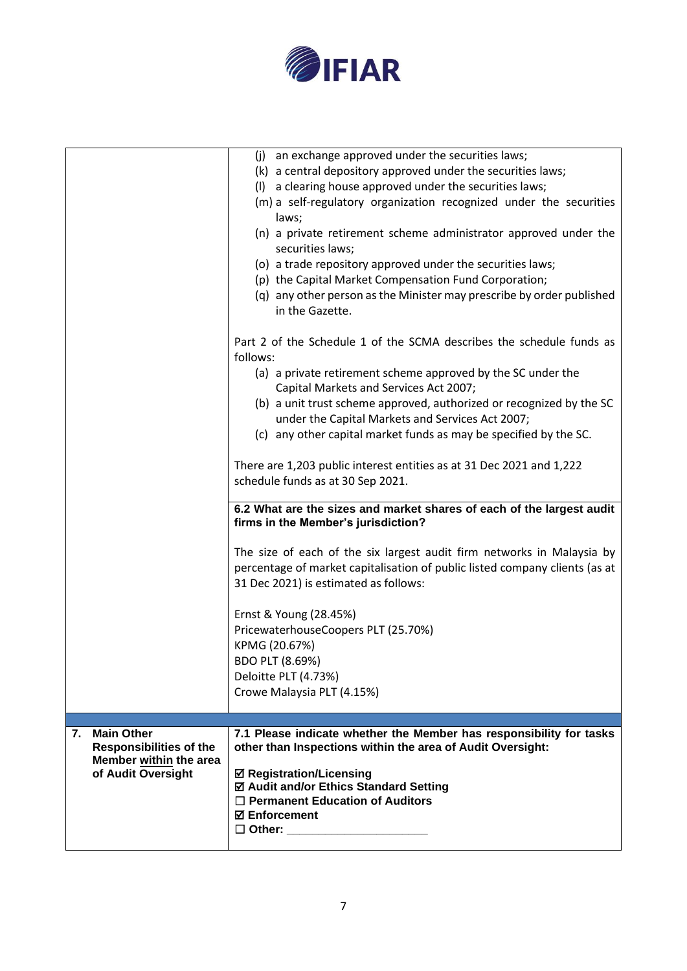

|                                                                                | (j) an exchange approved under the securities laws;<br>(k) a central depository approved under the securities laws;<br>(I) a clearing house approved under the securities laws;<br>(m) a self-regulatory organization recognized under the securities<br>laws;<br>(n) a private retirement scheme administrator approved under the<br>securities laws;<br>(o) a trade repository approved under the securities laws;<br>(p) the Capital Market Compensation Fund Corporation;<br>(q) any other person as the Minister may prescribe by order published<br>in the Gazette. |
|--------------------------------------------------------------------------------|---------------------------------------------------------------------------------------------------------------------------------------------------------------------------------------------------------------------------------------------------------------------------------------------------------------------------------------------------------------------------------------------------------------------------------------------------------------------------------------------------------------------------------------------------------------------------|
|                                                                                | Part 2 of the Schedule 1 of the SCMA describes the schedule funds as<br>follows:<br>(a) a private retirement scheme approved by the SC under the<br>Capital Markets and Services Act 2007;<br>(b) a unit trust scheme approved, authorized or recognized by the SC<br>under the Capital Markets and Services Act 2007;<br>(c) any other capital market funds as may be specified by the SC.                                                                                                                                                                               |
|                                                                                | There are 1,203 public interest entities as at 31 Dec 2021 and 1,222<br>schedule funds as at 30 Sep 2021.                                                                                                                                                                                                                                                                                                                                                                                                                                                                 |
|                                                                                | 6.2 What are the sizes and market shares of each of the largest audit<br>firms in the Member's jurisdiction?                                                                                                                                                                                                                                                                                                                                                                                                                                                              |
|                                                                                | The size of each of the six largest audit firm networks in Malaysia by<br>percentage of market capitalisation of public listed company clients (as at<br>31 Dec 2021) is estimated as follows:                                                                                                                                                                                                                                                                                                                                                                            |
|                                                                                | Ernst & Young (28.45%)<br>PricewaterhouseCoopers PLT (25.70%)<br>KPMG (20.67%)<br>BDO PLT (8.69%)<br>Deloitte PLT (4.73%)<br>Crowe Malaysia PLT (4.15%)                                                                                                                                                                                                                                                                                                                                                                                                                   |
| <b>Main Other</b><br>7.                                                        | 7.1 Please indicate whether the Member has responsibility for tasks                                                                                                                                                                                                                                                                                                                                                                                                                                                                                                       |
| <b>Responsibilities of the</b><br>Member within the area<br>of Audit Oversight | other than Inspections within the area of Audit Oversight:<br><b>Ø Registration/Licensing</b><br>☑ Audit and/or Ethics Standard Setting<br>$\Box$ Permanent Education of Auditors<br><b>⊠</b> Enforcement<br>□ Other: _______________________                                                                                                                                                                                                                                                                                                                             |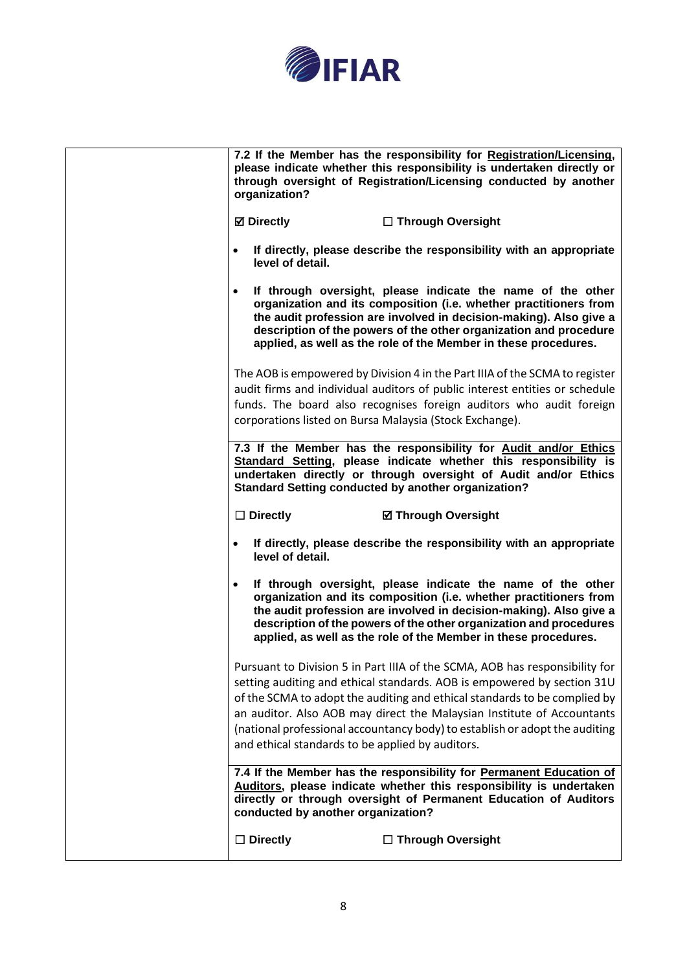

| 7.2 If the Member has the responsibility for Registration/Licensing,<br>please indicate whether this responsibility is undertaken directly or<br>through oversight of Registration/Licensing conducted by another<br>organization?                                                                                                                                                                                                               |
|--------------------------------------------------------------------------------------------------------------------------------------------------------------------------------------------------------------------------------------------------------------------------------------------------------------------------------------------------------------------------------------------------------------------------------------------------|
| <b>Ø</b> Directly<br>$\Box$ Through Oversight                                                                                                                                                                                                                                                                                                                                                                                                    |
| If directly, please describe the responsibility with an appropriate<br>$\bullet$<br>level of detail.                                                                                                                                                                                                                                                                                                                                             |
| If through oversight, please indicate the name of the other<br>$\bullet$<br>organization and its composition (i.e. whether practitioners from<br>the audit profession are involved in decision-making). Also give a<br>description of the powers of the other organization and procedure<br>applied, as well as the role of the Member in these procedures.                                                                                      |
| The AOB is empowered by Division 4 in the Part IIIA of the SCMA to register<br>audit firms and individual auditors of public interest entities or schedule<br>funds. The board also recognises foreign auditors who audit foreign<br>corporations listed on Bursa Malaysia (Stock Exchange).                                                                                                                                                     |
| 7.3 If the Member has the responsibility for Audit and/or Ethics<br>Standard Setting, please indicate whether this responsibility is<br>undertaken directly or through oversight of Audit and/or Ethics<br><b>Standard Setting conducted by another organization?</b>                                                                                                                                                                            |
| $\Box$ Directly<br><b>Ø Through Oversight</b>                                                                                                                                                                                                                                                                                                                                                                                                    |
| If directly, please describe the responsibility with an appropriate<br>level of detail.                                                                                                                                                                                                                                                                                                                                                          |
| If through oversight, please indicate the name of the other<br>$\bullet$<br>organization and its composition (i.e. whether practitioners from<br>the audit profession are involved in decision-making). Also give a<br>description of the powers of the other organization and procedures                                                                                                                                                        |
| applied, as well as the role of the Member in these procedures.                                                                                                                                                                                                                                                                                                                                                                                  |
| Pursuant to Division 5 in Part IIIA of the SCMA, AOB has responsibility for<br>setting auditing and ethical standards. AOB is empowered by section 31U<br>of the SCMA to adopt the auditing and ethical standards to be complied by<br>an auditor. Also AOB may direct the Malaysian Institute of Accountants<br>(national professional accountancy body) to establish or adopt the auditing<br>and ethical standards to be applied by auditors. |
| 7.4 If the Member has the responsibility for Permanent Education of<br>Auditors, please indicate whether this responsibility is undertaken<br>directly or through oversight of Permanent Education of Auditors<br>conducted by another organization?                                                                                                                                                                                             |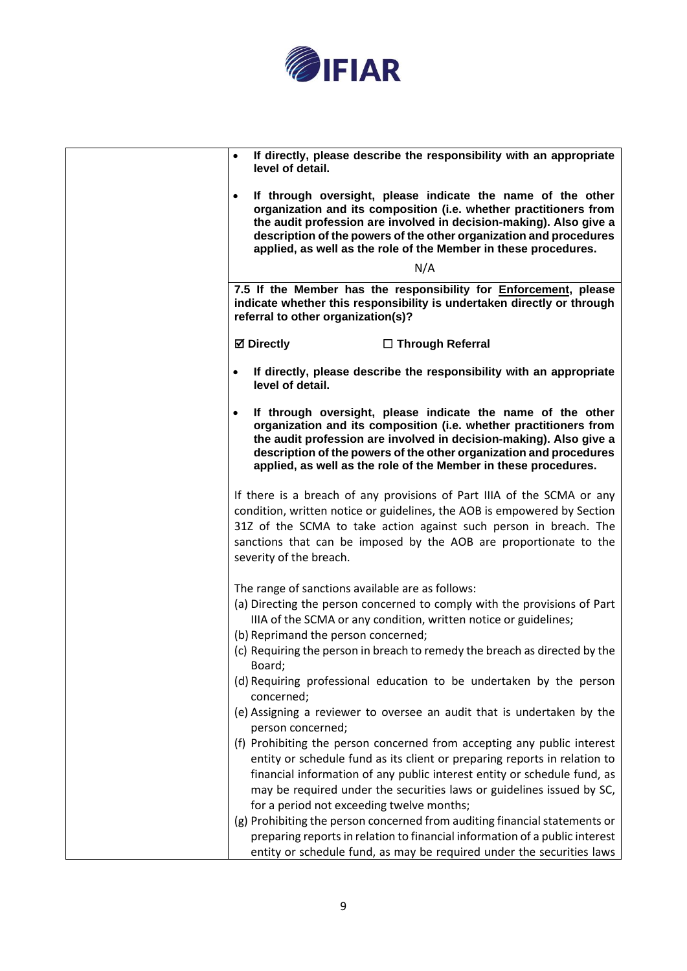

| If directly, please describe the responsibility with an appropriate<br>$\bullet$<br>level of detail.                                                                                                                                                                                                                                                         |
|--------------------------------------------------------------------------------------------------------------------------------------------------------------------------------------------------------------------------------------------------------------------------------------------------------------------------------------------------------------|
| If through oversight, please indicate the name of the other<br>$\bullet$<br>organization and its composition (i.e. whether practitioners from<br>the audit profession are involved in decision-making). Also give a<br>description of the powers of the other organization and procedures<br>applied, as well as the role of the Member in these procedures. |
| N/A                                                                                                                                                                                                                                                                                                                                                          |
| 7.5 If the Member has the responsibility for Enforcement, please<br>indicate whether this responsibility is undertaken directly or through<br>referral to other organization(s)?                                                                                                                                                                             |
| <b>Ø</b> Directly<br>$\Box$ Through Referral                                                                                                                                                                                                                                                                                                                 |
| If directly, please describe the responsibility with an appropriate<br>$\bullet$<br>level of detail.                                                                                                                                                                                                                                                         |
| If through oversight, please indicate the name of the other<br>$\bullet$<br>organization and its composition (i.e. whether practitioners from<br>the audit profession are involved in decision-making). Also give a<br>description of the powers of the other organization and procedures<br>applied, as well as the role of the Member in these procedures. |
| If there is a breach of any provisions of Part IIIA of the SCMA or any<br>condition, written notice or guidelines, the AOB is empowered by Section<br>31Z of the SCMA to take action against such person in breach. The<br>sanctions that can be imposed by the AOB are proportionate to the<br>severity of the breach.                                      |
| The range of sanctions available are as follows:<br>(a) Directing the person concerned to comply with the provisions of Part<br>IIIA of the SCMA or any condition, written notice or guidelines;<br>(b) Reprimand the person concerned;                                                                                                                      |
| (c) Requiring the person in breach to remedy the breach as directed by the<br>Board;<br>(d) Requiring professional education to be undertaken by the person                                                                                                                                                                                                  |
| concerned;<br>(e) Assigning a reviewer to oversee an audit that is undertaken by the                                                                                                                                                                                                                                                                         |
| person concerned;                                                                                                                                                                                                                                                                                                                                            |
| (f) Prohibiting the person concerned from accepting any public interest<br>entity or schedule fund as its client or preparing reports in relation to                                                                                                                                                                                                         |
| financial information of any public interest entity or schedule fund, as                                                                                                                                                                                                                                                                                     |
| may be required under the securities laws or guidelines issued by SC,                                                                                                                                                                                                                                                                                        |
| for a period not exceeding twelve months;<br>(g) Prohibiting the person concerned from auditing financial statements or                                                                                                                                                                                                                                      |
| preparing reports in relation to financial information of a public interest                                                                                                                                                                                                                                                                                  |
| entity or schedule fund, as may be required under the securities laws                                                                                                                                                                                                                                                                                        |